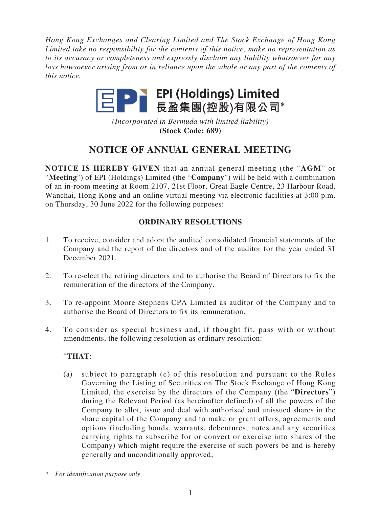*Hong Kong Exchanges and Clearing Limited and The Stock Exchange of Hong Kong Limited take no responsibility for the contents of this notice, make no representation as to its accuracy or completeness and expressly disclaim any liability whatsoever for any loss howsoever arising from or in reliance upon the whole or any part of the contents of this notice.*



*(Incorporated in Bermuda with limited liability)* **(Stock Code: 689)**

# **NOTICE OF ANNUAL GENERAL MEETING**

**NOTICE IS HEREBY GIVEN** that an annual general meeting (the "**AGM**" or "**Meeting**") of EPI (Holdings) Limited (the "**Company**") will be held with a combination of an in-room meeting at Room 2107, 21st Floor, Great Eagle Centre, 23 Harbour Road, Wanchai, Hong Kong and an online virtual meeting via electronic facilities at 3:00 p.m. on Thursday, 30 June 2022 for the following purposes:

# **ORDINARY RESOLUTIONS**

- 1. To receive, consider and adopt the audited consolidated financial statements of the Company and the report of the directors and of the auditor for the year ended 31 December 2021.
- 2. To re-elect the retiring directors and to authorise the Board of Directors to fix the remuneration of the directors of the Company.
- 3. To re-appoint Moore Stephens CPA Limited as auditor of the Company and to authorise the Board of Directors to fix its remuneration.
- 4. To consider as special business and, if thought fit, pass with or without amendments, the following resolution as ordinary resolution:

# "**THAT**:

(a) subject to paragraph (c) of this resolution and pursuant to the Rules Governing the Listing of Securities on The Stock Exchange of Hong Kong Limited, the exercise by the directors of the Company (the "**Directors**") during the Relevant Period (as hereinafter defined) of all the powers of the Company to allot, issue and deal with authorised and unissued shares in the share capital of the Company and to make or grant offers, agreements and options (including bonds, warrants, debentures, notes and any securities carrying rights to subscribe for or convert or exercise into shares of the Company) which might require the exercise of such powers be and is hereby generally and unconditionally approved;

<sup>\*</sup> *For identification purpose only*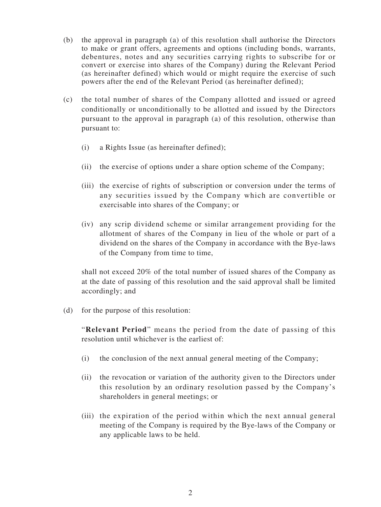- (b) the approval in paragraph (a) of this resolution shall authorise the Directors to make or grant offers, agreements and options (including bonds, warrants, debentures, notes and any securities carrying rights to subscribe for or convert or exercise into shares of the Company) during the Relevant Period (as hereinafter defined) which would or might require the exercise of such powers after the end of the Relevant Period (as hereinafter defined);
- (c) the total number of shares of the Company allotted and issued or agreed conditionally or unconditionally to be allotted and issued by the Directors pursuant to the approval in paragraph (a) of this resolution, otherwise than pursuant to:
	- (i) a Rights Issue (as hereinafter defined);
	- (ii) the exercise of options under a share option scheme of the Company;
	- (iii) the exercise of rights of subscription or conversion under the terms of any securities issued by the Company which are convertible or exercisable into shares of the Company; or
	- (iv) any scrip dividend scheme or similar arrangement providing for the allotment of shares of the Company in lieu of the whole or part of a dividend on the shares of the Company in accordance with the Bye-laws of the Company from time to time,

shall not exceed 20% of the total number of issued shares of the Company as at the date of passing of this resolution and the said approval shall be limited accordingly; and

(d) for the purpose of this resolution:

"**Relevant Period**" means the period from the date of passing of this resolution until whichever is the earliest of:

- (i) the conclusion of the next annual general meeting of the Company;
- (ii) the revocation or variation of the authority given to the Directors under this resolution by an ordinary resolution passed by the Company's shareholders in general meetings; or
- (iii) the expiration of the period within which the next annual general meeting of the Company is required by the Bye-laws of the Company or any applicable laws to be held.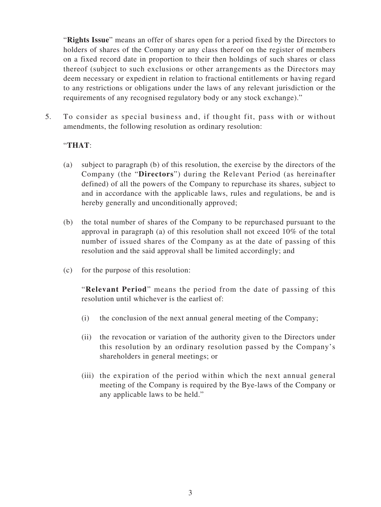"**Rights Issue**" means an offer of shares open for a period fixed by the Directors to holders of shares of the Company or any class thereof on the register of members on a fixed record date in proportion to their then holdings of such shares or class thereof (subject to such exclusions or other arrangements as the Directors may deem necessary or expedient in relation to fractional entitlements or having regard to any restrictions or obligations under the laws of any relevant jurisdiction or the requirements of any recognised regulatory body or any stock exchange)."

5. To consider as special business and, if thought fit, pass with or without amendments, the following resolution as ordinary resolution:

# "**THAT**:

- (a) subject to paragraph (b) of this resolution, the exercise by the directors of the Company (the "**Directors**") during the Relevant Period (as hereinafter defined) of all the powers of the Company to repurchase its shares, subject to and in accordance with the applicable laws, rules and regulations, be and is hereby generally and unconditionally approved;
- (b) the total number of shares of the Company to be repurchased pursuant to the approval in paragraph (a) of this resolution shall not exceed 10% of the total number of issued shares of the Company as at the date of passing of this resolution and the said approval shall be limited accordingly; and
- (c) for the purpose of this resolution:

"**Relevant Period**" means the period from the date of passing of this resolution until whichever is the earliest of:

- (i) the conclusion of the next annual general meeting of the Company;
- (ii) the revocation or variation of the authority given to the Directors under this resolution by an ordinary resolution passed by the Company's shareholders in general meetings; or
- (iii) the expiration of the period within which the next annual general meeting of the Company is required by the Bye-laws of the Company or any applicable laws to be held."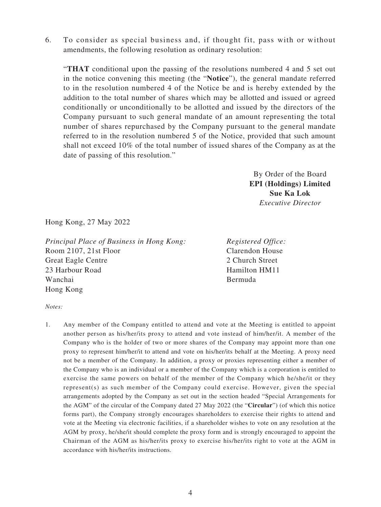6. To consider as special business and, if thought fit, pass with or without amendments, the following resolution as ordinary resolution:

"**THAT** conditional upon the passing of the resolutions numbered 4 and 5 set out in the notice convening this meeting (the "**Notice**"), the general mandate referred to in the resolution numbered 4 of the Notice be and is hereby extended by the addition to the total number of shares which may be allotted and issued or agreed conditionally or unconditionally to be allotted and issued by the directors of the Company pursuant to such general mandate of an amount representing the total number of shares repurchased by the Company pursuant to the general mandate referred to in the resolution numbered 5 of the Notice, provided that such amount shall not exceed 10% of the total number of issued shares of the Company as at the date of passing of this resolution."

> By Order of the Board **EPI (Holdings) Limited Sue Ka Lok** *Executive Director*

Hong Kong, 27 May 2022

*Principal Place of Business in Hong Kong:* Room 2107, 21st Floor Great Eagle Centre 23 Harbour Road Wanchai Hong Kong

*Registered Office:* Clarendon House 2 Church Street Hamilton HM11 Bermuda

*Notes:*

1. Any member of the Company entitled to attend and vote at the Meeting is entitled to appoint another person as his/her/its proxy to attend and vote instead of him/her/it. A member of the Company who is the holder of two or more shares of the Company may appoint more than one proxy to represent him/her/it to attend and vote on his/her/its behalf at the Meeting. A proxy need not be a member of the Company. In addition, a proxy or proxies representing either a member of the Company who is an individual or a member of the Company which is a corporation is entitled to exercise the same powers on behalf of the member of the Company which he/she/it or they represent(s) as such member of the Company could exercise. However, given the special arrangements adopted by the Company as set out in the section headed "Special Arrangements for the AGM" of the circular of the Company dated 27 May 2022 (the "**Circular**") (of which this notice forms part), the Company strongly encourages shareholders to exercise their rights to attend and vote at the Meeting via electronic facilities, if a shareholder wishes to vote on any resolution at the AGM by proxy, he/she/it should complete the proxy form and is strongly encouraged to appoint the Chairman of the AGM as his/her/its proxy to exercise his/her/its right to vote at the AGM in accordance with his/her/its instructions.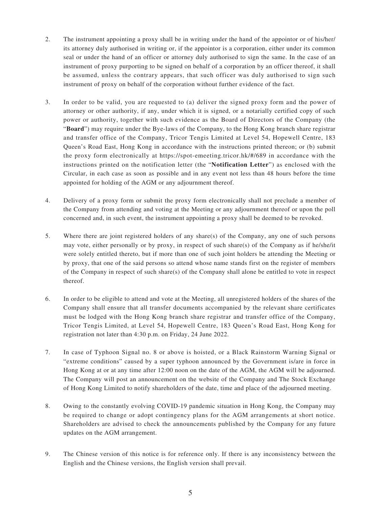- 2. The instrument appointing a proxy shall be in writing under the hand of the appointor or of his/her/ its attorney duly authorised in writing or, if the appointor is a corporation, either under its common seal or under the hand of an officer or attorney duly authorised to sign the same. In the case of an instrument of proxy purporting to be signed on behalf of a corporation by an officer thereof, it shall be assumed, unless the contrary appears, that such officer was duly authorised to sign such instrument of proxy on behalf of the corporation without further evidence of the fact.
- 3. In order to be valid, you are requested to (a) deliver the signed proxy form and the power of attorney or other authority, if any, under which it is signed, or a notarially certified copy of such power or authority, together with such evidence as the Board of Directors of the Company (the "**Board**") may require under the Bye-laws of the Company, to the Hong Kong branch share registrar and transfer office of the Company, Tricor Tengis Limited at Level 54, Hopewell Centre, 183 Queen's Road East, Hong Kong in accordance with the instructions printed thereon; or (b) submit the proxy form electronically at https://spot-emeeting.tricor.hk/#/689 in accordance with the instructions printed on the notification letter (the "**Notification Letter**") as enclosed with the Circular, in each case as soon as possible and in any event not less than 48 hours before the time appointed for holding of the AGM or any adjournment thereof.
- 4. Delivery of a proxy form or submit the proxy form electronically shall not preclude a member of the Company from attending and voting at the Meeting or any adjournment thereof or upon the poll concerned and, in such event, the instrument appointing a proxy shall be deemed to be revoked.
- 5. Where there are joint registered holders of any share(s) of the Company, any one of such persons may vote, either personally or by proxy, in respect of such share(s) of the Company as if he/she/it were solely entitled thereto, but if more than one of such joint holders be attending the Meeting or by proxy, that one of the said persons so attend whose name stands first on the register of members of the Company in respect of such share(s) of the Company shall alone be entitled to vote in respect thereof.
- 6. In order to be eligible to attend and vote at the Meeting, all unregistered holders of the shares of the Company shall ensure that all transfer documents accompanied by the relevant share certificates must be lodged with the Hong Kong branch share registrar and transfer office of the Company, Tricor Tengis Limited, at Level 54, Hopewell Centre, 183 Queen's Road East, Hong Kong for registration not later than 4:30 p.m. on Friday, 24 June 2022.
- 7. In case of Typhoon Signal no. 8 or above is hoisted, or a Black Rainstorm Warning Signal or "extreme conditions" caused by a super typhoon announced by the Government is/are in force in Hong Kong at or at any time after 12:00 noon on the date of the AGM, the AGM will be adjourned. The Company will post an announcement on the website of the Company and The Stock Exchange of Hong Kong Limited to notify shareholders of the date, time and place of the adjourned meeting.
- 8. Owing to the constantly evolving COVID-19 pandemic situation in Hong Kong, the Company may be required to change or adopt contingency plans for the AGM arrangements at short notice. Shareholders are advised to check the announcements published by the Company for any future updates on the AGM arrangement.
- 9. The Chinese version of this notice is for reference only. If there is any inconsistency between the English and the Chinese versions, the English version shall prevail.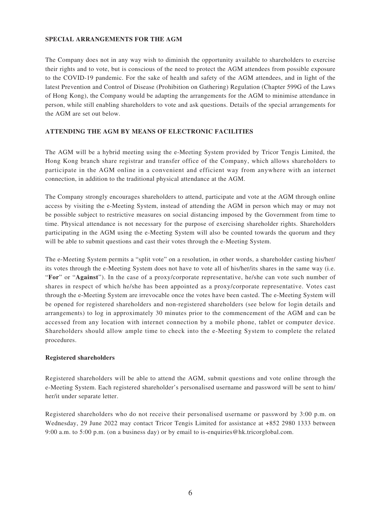### **SPECIAL ARRANGEMENTS FOR THE AGM**

The Company does not in any way wish to diminish the opportunity available to shareholders to exercise their rights and to vote, but is conscious of the need to protect the AGM attendees from possible exposure to the COVID-19 pandemic. For the sake of health and safety of the AGM attendees, and in light of the latest Prevention and Control of Disease (Prohibition on Gathering) Regulation (Chapter 599G of the Laws of Hong Kong), the Company would be adapting the arrangements for the AGM to minimise attendance in person, while still enabling shareholders to vote and ask questions. Details of the special arrangements for the AGM are set out below.

# **ATTENDING THE AGM BY MEANS OF ELECTRONIC FACILITIES**

The AGM will be a hybrid meeting using the e-Meeting System provided by Tricor Tengis Limited, the Hong Kong branch share registrar and transfer office of the Company, which allows shareholders to participate in the AGM online in a convenient and efficient way from anywhere with an internet connection, in addition to the traditional physical attendance at the AGM.

The Company strongly encourages shareholders to attend, participate and vote at the AGM through online access by visiting the e-Meeting System, instead of attending the AGM in person which may or may not be possible subject to restrictive measures on social distancing imposed by the Government from time to time. Physical attendance is not necessary for the purpose of exercising shareholder rights. Shareholders participating in the AGM using the e-Meeting System will also be counted towards the quorum and they will be able to submit questions and cast their votes through the e-Meeting System.

The e-Meeting System permits a "split vote" on a resolution, in other words, a shareholder casting his/her/ its votes through the e-Meeting System does not have to vote all of his/her/its shares in the same way (i.e. "**For**" or "**Against**"). In the case of a proxy/corporate representative, he/she can vote such number of shares in respect of which he/she has been appointed as a proxy/corporate representative. Votes cast through the e-Meeting System are irrevocable once the votes have been casted. The e-Meeting System will be opened for registered shareholders and non-registered shareholders (see below for login details and arrangements) to log in approximately 30 minutes prior to the commencement of the AGM and can be accessed from any location with internet connection by a mobile phone, tablet or computer device. Shareholders should allow ample time to check into the e-Meeting System to complete the related procedures.

#### **Registered shareholders**

Registered shareholders will be able to attend the AGM, submit questions and vote online through the e-Meeting System. Each registered shareholder's personalised username and password will be sent to him/ her/it under separate letter.

Registered shareholders who do not receive their personalised username or password by 3:00 p.m. on Wednesday, 29 June 2022 may contact Tricor Tengis Limited for assistance at +852 2980 1333 between 9:00 a.m. to 5:00 p.m. (on a business day) or by email to is-enquiries@hk.tricorglobal.com.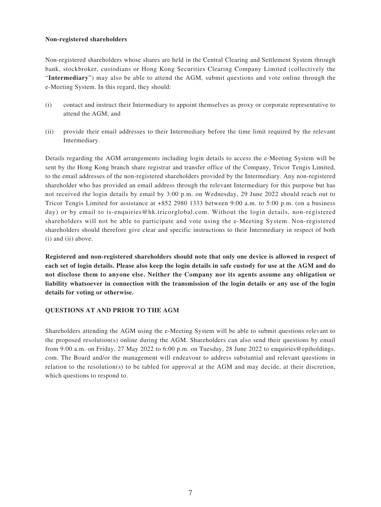#### **Non-registered shareholders**

Non-registered shareholders whose shares are held in the Central Clearing and Settlement System through bank, stockbroker, custodians or Hong Kong Securities Clearing Company Limited (collectively the "**Intermediary**") may also be able to attend the AGM, submit questions and vote online through the e-Meeting System. In this regard, they should:

- (i) contact and instruct their Intermediary to appoint themselves as proxy or corporate representative to attend the AGM; and
- (ii) provide their email addresses to their Intermediary before the time limit required by the relevant Intermediary.

Details regarding the AGM arrangements including login details to access the e-Meeting System will be sent by the Hong Kong branch share registrar and transfer office of the Company, Tricor Tengis Limited, to the email addresses of the non-registered shareholders provided by the Intermediary. Any non-registered shareholder who has provided an email address through the relevant Intermediary for this purpose but has not received the login details by email by 3:00 p.m. on Wednesday, 29 June 2022 should reach out to Tricor Tengis Limited for assistance at +852 2980 1333 between 9:00 a.m. to 5:00 p.m. (on a business day) or by email to is-enquiries@hk.tricorglobal.com. Without the login details, non-registered shareholders will not be able to participate and vote using the e-Meeting System. Non-registered shareholders should therefore give clear and specific instructions to their Intermediary in respect of both (i) and (ii) above.

**Registered and non-registered shareholders should note that only one device is allowed in respect of each set of login details. Please also keep the login details in safe custody for use at the AGM and do not disclose them to anyone else. Neither the Company nor its agents assume any obligation or liability whatsoever in connection with the transmission of the login details or any use of the login details for voting or otherwise.**

## **QUESTIONS AT AND PRIOR TO THE AGM**

Shareholders attending the AGM using the e-Meeting System will be able to submit questions relevant to the proposed resolution(s) online during the AGM. Shareholders can also send their questions by email from 9:00 a.m. on Friday, 27 May 2022 to 6:00 p.m. on Tuesday, 28 June 2022 to enquiries@epiholdings. com. The Board and/or the management will endeavour to address substantial and relevant questions in relation to the resolution(s) to be tabled for approval at the AGM and may decide, at their discretion, which questions to respond to.